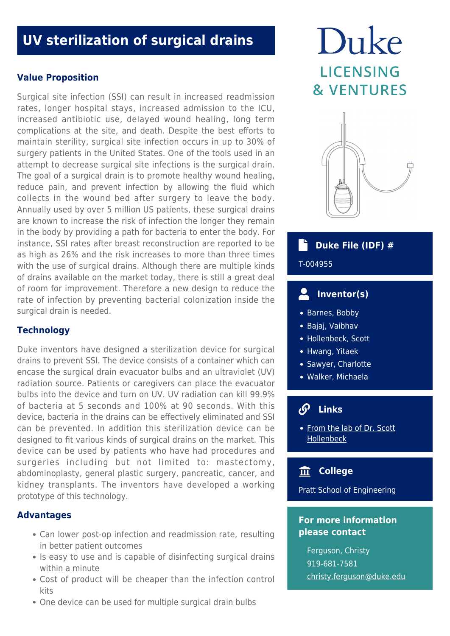## **UV sterilization of surgical drains**

## **Value Proposition**

Surgical site infection (SSI) can result in increased readmission rates, longer hospital stays, increased admission to the ICU, increased antibiotic use, delayed wound healing, long term complications at the site, and death. Despite the best efforts to maintain sterility, surgical site infection occurs in up to 30% of surgery patients in the United States. One of the tools used in an attempt to decrease surgical site infections is the surgical drain. The goal of a surgical drain is to promote healthy wound healing, reduce pain, and prevent infection by allowing the fluid which collects in the wound bed after surgery to leave the body. Annually used by over 5 million US patients, these surgical drains are known to increase the risk of infection the longer they remain in the body by providing a path for bacteria to enter the body. For instance, SSI rates after breast reconstruction are reported to be as high as 26% and the risk increases to more than three times with the use of surgical drains. Although there are multiple kinds of drains available on the market today, there is still a great deal of room for improvement. Therefore a new design to reduce the rate of infection by preventing bacterial colonization inside the surgical drain is needed.

## **Technology**

Duke inventors have designed a sterilization device for surgical drains to prevent SSI. The device consists of a container which can encase the surgical drain evacuator bulbs and an ultraviolet (UV) radiation source. Patients or caregivers can place the evacuator bulbs into the device and turn on UV. UV radiation can kill 99.9% of bacteria at 5 seconds and 100% at 90 seconds. With this device, bacteria in the drains can be effectively eliminated and SSI can be prevented. In addition this sterilization device can be designed to fit various kinds of surgical drains on the market. This device can be used by patients who have had procedures and surgeries including but not limited to: mastectomy, abdominoplasty, general plastic surgery, pancreatic, cancer, and kidney transplants. The inventors have developed a working prototype of this technology.

## **Advantages**

- Can lower post-op infection and readmission rate, resulting in better patient outcomes
- Is easy to use and is capable of disinfecting surgical drains within a minute
- Cost of product will be cheaper than the infection control kits
- One device can be used for multiple surgical drain bulbs

# Duke **LICENSING & VENTURES**



## **Duke File (IDF) #**

## T-004955

#### $\overline{\mathbf{S}}$  **Inventor(s)**

- Barnes, Bobby
- Bajaj, Vaibhav
- Hollenbeck, Scott
- Hwang, Yitaek
- Sawyer, Charlotte
- Walker, Michaela

#### $\bm{Q}$  **Links**

• [From the lab of Dr. Scott](https://surgery.duke.edu/faculty/scott-thomas-hollenbeck-md) [Hollenbeck](https://surgery.duke.edu/faculty/scott-thomas-hollenbeck-md)

## **College**

Pratt School of Engineering

### **For more information please contact**

Ferguson, Christy 919-681-7581 [christy.ferguson@duke.edu](mailto:christy.ferguson@duke.edu)